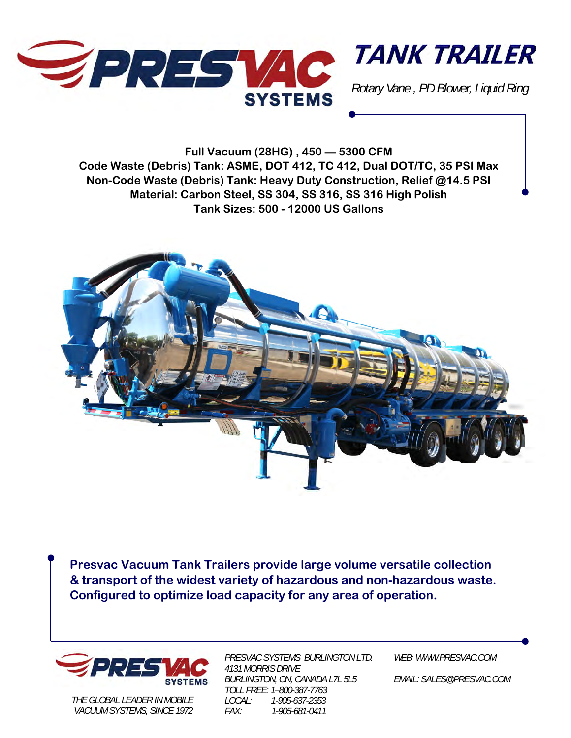



*Rotary Vane , PD Blower, Liquid Ring* 

**Full Vacuum (28HG) , 450 — 5300 CFM Code Waste (Debris) Tank: ASME, DOT 412, TC 412, Dual DOT/TC, 35 PSI Max Non-Code Waste (Debris) Tank: Heavy Duty Construction, Relief @14.5 PSI Material: Carbon Steel, SS 304, SS 316, SS 316 High Polish Tank Sizes: 500 - 12000 US Gallons** 



**Presvac Vacuum Tank Trailers provide large volume versatile collection & transport of the widest variety of hazardous and non-hazardous waste. Configured to optimize load capacity for any area of operation.** 



*THE GLOBAL LEADER IN MOBILE VACUUM SYSTEMS, SINCE 1972*  *PRESVAC SYSTEMS BURLINGTON LTD. 4131 MORRIS DRIVE BURLINGTON, ON, CANADA L7L 5L5 TOLL FREE: 1–800-387-7763 LOCAL: 1-905-637-2353 FAX: 1-905-681-0411* 

*WEB: WWW.PRESVAC.COM* 

*EMAIL: SALES@PRESVAC.COM*